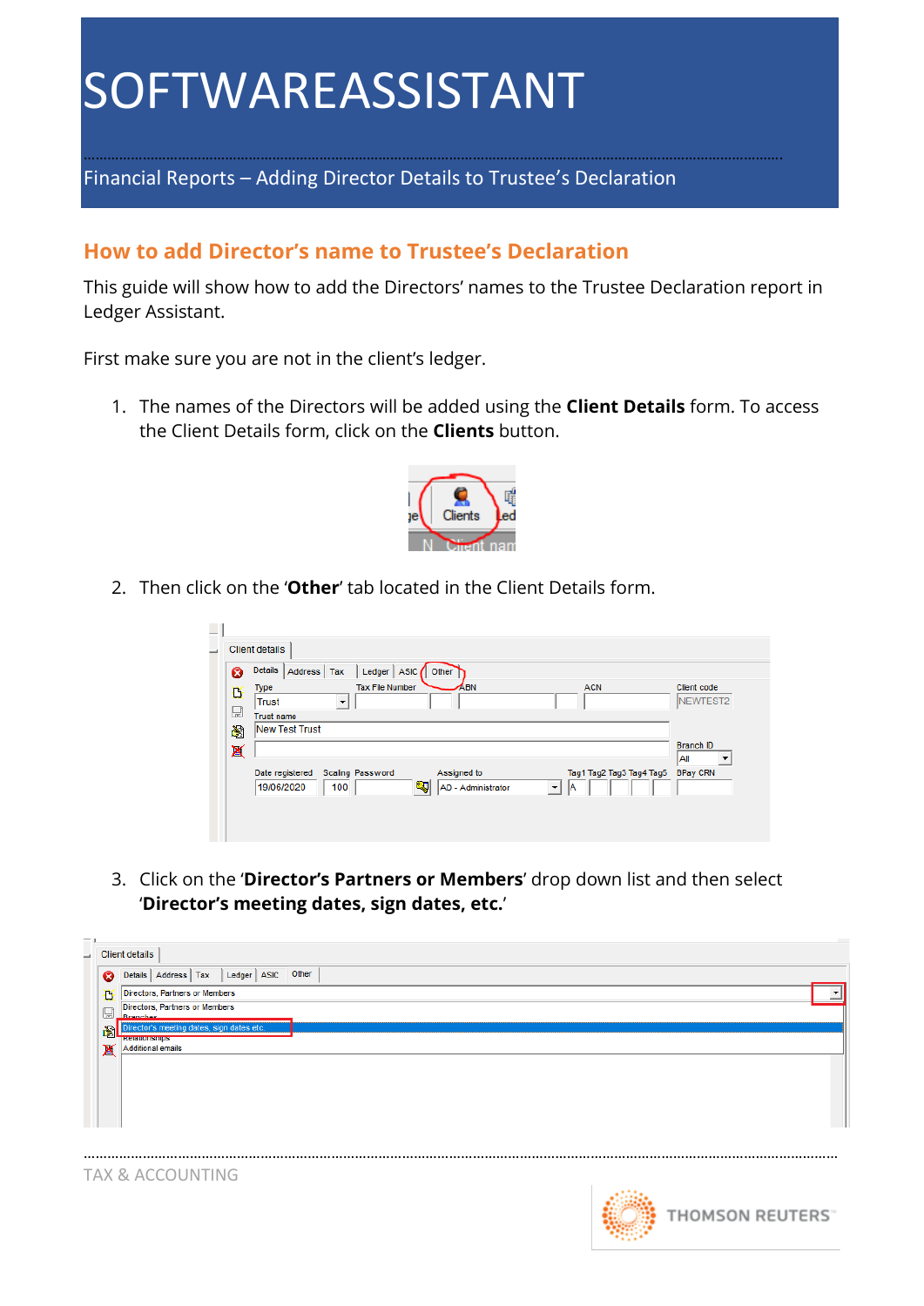Financial Reports – Adding Director Details to Trustee's Declaration

#### **How to add Director's name to Trustee's Declaration**

This guide will show how to add the Directors' names to the Trustee Declaration report in Ledger Assistant.

…………………………………………………………………………………………………………………………………………………………….

First make sure you are not in the client's ledger.

1. The names of the Directors will be added using the **Client Details** form. To access the Client Details form, click on the **Clients** button.



2. Then click on the '**Other**' tab located in the Client Details form.

| 0<br>Type<br>Ď<br>Trust<br>$\boxplus$<br>阉 | Address   Tax<br>▼<br><b>Trust name</b> | Ledger  <br><b>Tax File Number</b> | ABN                | <b>ACN</b>                | Client code                                     |
|--------------------------------------------|-----------------------------------------|------------------------------------|--------------------|---------------------------|-------------------------------------------------|
|                                            |                                         |                                    |                    |                           | <b>INEWTEST2</b>                                |
|                                            | New Test Trust                          |                                    |                    |                           |                                                 |
| X                                          | Date registered                         | <b>Scaling Password</b>            | Assigned to        | Tag1 Tag2 Tag3 Tag4 Tag5  | <b>Branch ID</b><br>All<br>▼<br><b>BPay CRN</b> |
|                                            | 19/06/2020<br>100                       | 9                                  | AD - Administrator | А<br>$\blacktriangledown$ |                                                 |

3. Click on the '**Director's Partners or Members**' drop down list and then select '**Director's meeting dates, sign dates, etc.**'



TAX & ACCOUNTING

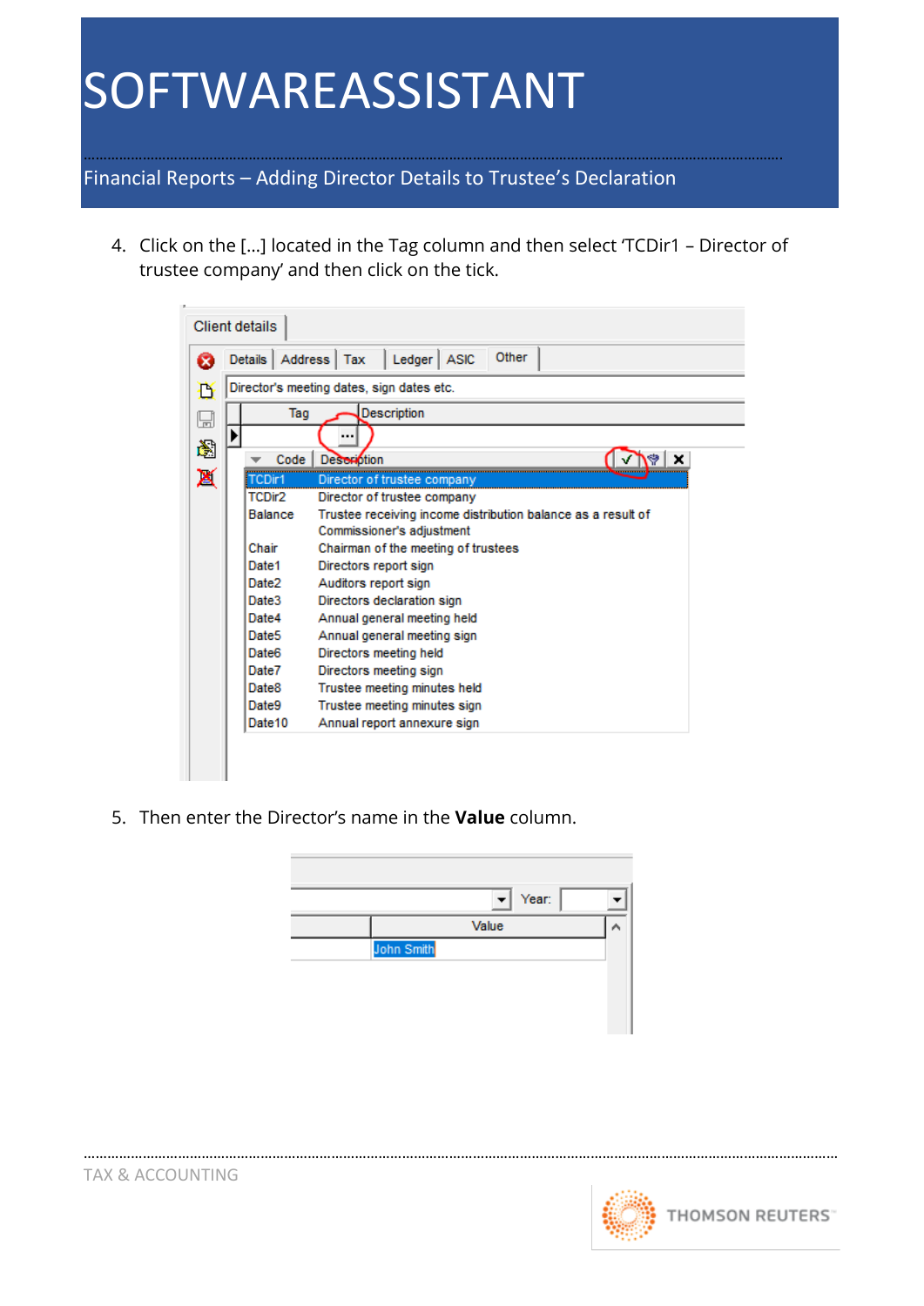……………………………………………………………………………………………………………………………………………………………. Financial Reports – Adding Director Details to Trustee's Declaration

4. Click on the […] located in the Tag column and then select 'TCDir1 – Director of trustee company' and then click on the tick.



5. Then enter the Director's name in the **Value** column.



…………………………………………………………………………………………………………………………………………………………………………

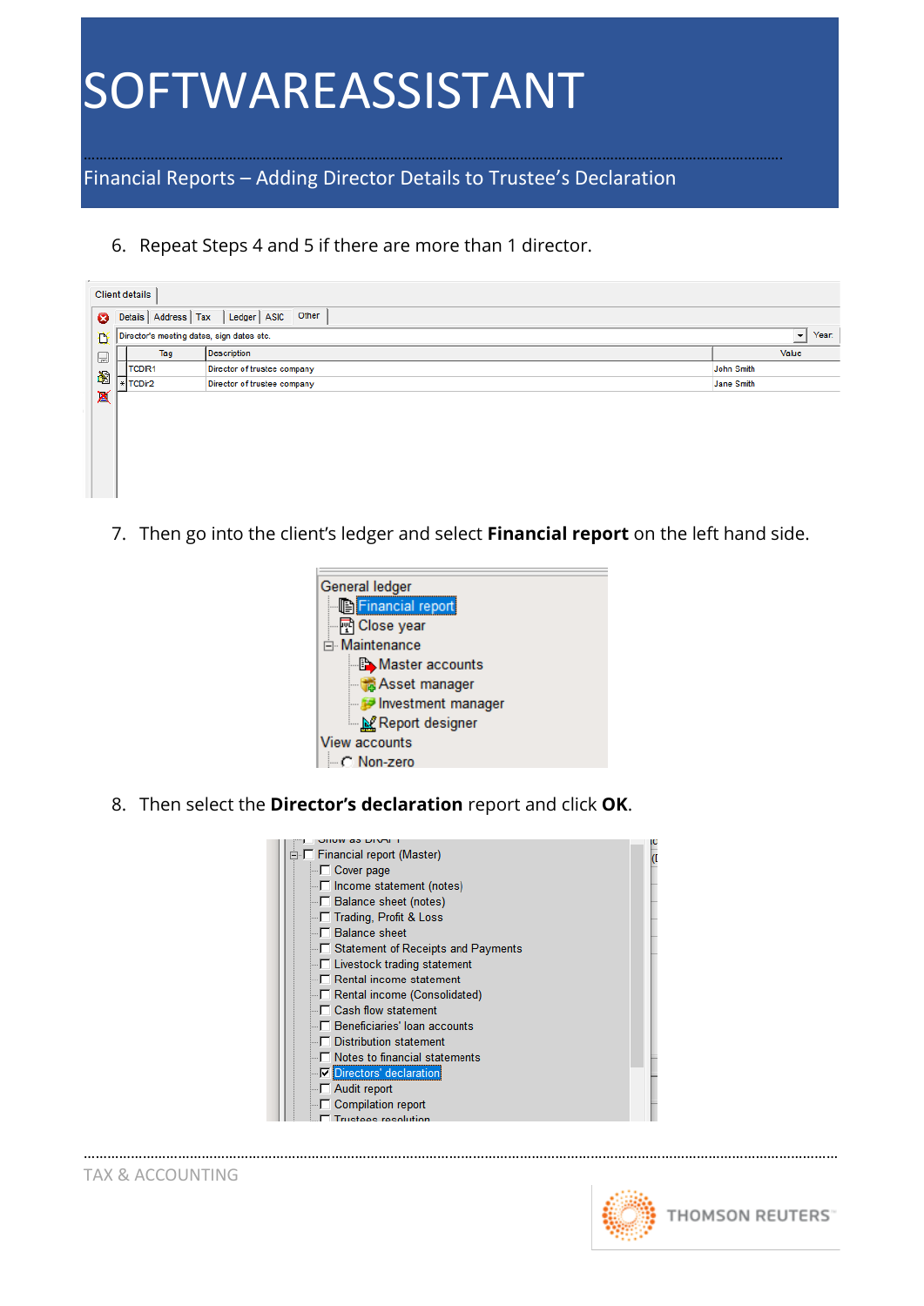……………………………………………………………………………………………………………………………………………………………. Financial Reports – Adding Director Details to Trustee's Declaration

6. Repeat Steps 4 and 5 if there are more than 1 director.

|                                           | Other<br>Details   Address   Tax<br>$L$ edger $A$ SIC |                                  |            |                     |  |  |  |  |  |
|-------------------------------------------|-------------------------------------------------------|----------------------------------|------------|---------------------|--|--|--|--|--|
| Director's meeting dates, sign dates etc. |                                                       |                                  |            |                     |  |  |  |  |  |
|                                           | Tag                                                   | <b>Description</b>               | Value      |                     |  |  |  |  |  |
|                                           | TCDIR1                                                | Director of trustee company      | John Smith |                     |  |  |  |  |  |
|                                           | TCDir2                                                | Director of trustee company      | Jane Smith |                     |  |  |  |  |  |
|                                           |                                                       |                                  |            |                     |  |  |  |  |  |
|                                           |                                                       |                                  |            |                     |  |  |  |  |  |
|                                           |                                                       |                                  |            |                     |  |  |  |  |  |
|                                           |                                                       |                                  |            |                     |  |  |  |  |  |
|                                           |                                                       |                                  |            |                     |  |  |  |  |  |
|                                           |                                                       | <b>Client details</b><br>$\star$ |            | $\vert \cdot \vert$ |  |  |  |  |  |

7. Then go into the client's ledger and select **Financial report** on the left hand side.



8. Then select the **Director's declaration** report and click **OK**.



…………………………………………………………………………………………………………………………………………………………………………